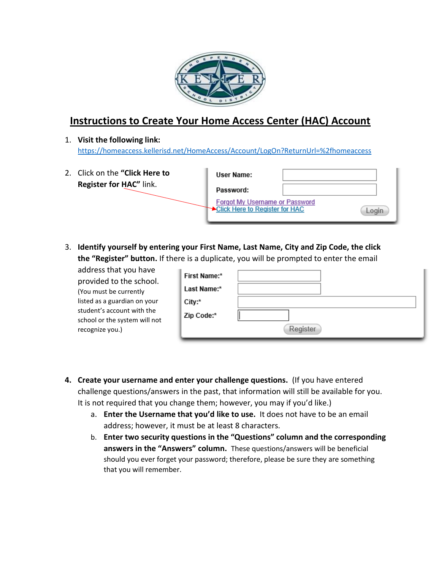

## **Instructions to Create Your Home Access Center (HAC) Account**

1. **Visit the following link:**  <https://homeaccess.kellerisd.net/HomeAccess/Account/LogOn?ReturnUrl=%2fhomeaccess>

| 2. Click on the "Click Here to | User Name:                                                              |  |
|--------------------------------|-------------------------------------------------------------------------|--|
| Register for HAC" link.        | Password:                                                               |  |
|                                | <b>Forgot My Username or Password</b><br>Click Here to Register for HAC |  |

3. **Identify yourself by entering your First Name, Last Name, City and Zip Code, the click the "Register" button.** If there is a duplicate, you will be prompted to enter the email

| address that you have                                       | First Name:* |          |
|-------------------------------------------------------------|--------------|----------|
| provided to the school.                                     |              |          |
| (You must be currently                                      | Last Name:*  |          |
| listed as a guardian on your                                | City:*       |          |
| student's account with the<br>school or the system will not | Zip Code:*   |          |
| recognize you.)                                             |              | Register |

- **4. Create your username and enter your challenge questions.** (If you have entered challenge questions/answers in the past, that information will still be available for you. It is not required that you change them; however, you may if you'd like.)
	- a. **Enter the Username that you'd like to use.** It does not have to be an email address; however, it must be at least 8 characters.
	- b. **Enter two security questions in the "Questions" column and the corresponding answers in the "Answers" column.** These questions/answers will be beneficial should you ever forget your password; therefore, please be sure they are something that you will remember.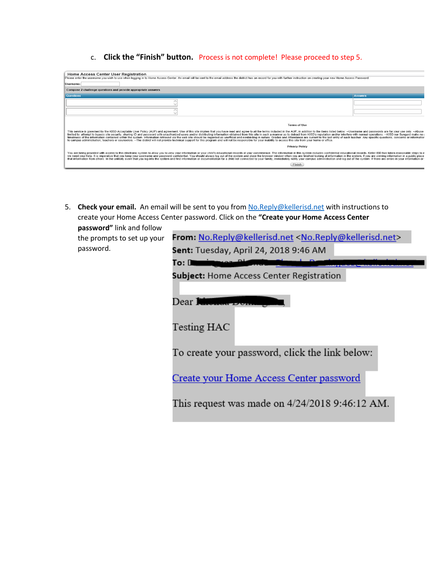c. **Click the "Finish" button.** Process is not complete! Please proceed to step 5.

| <b>Home Access Center User Registration</b>                                                                                                                                                                                                                                                                                                                                                                                                                                                                                                                                                                                                                                                                                                                                                                                                                                                                             |                |  |
|-------------------------------------------------------------------------------------------------------------------------------------------------------------------------------------------------------------------------------------------------------------------------------------------------------------------------------------------------------------------------------------------------------------------------------------------------------------------------------------------------------------------------------------------------------------------------------------------------------------------------------------------------------------------------------------------------------------------------------------------------------------------------------------------------------------------------------------------------------------------------------------------------------------------------|----------------|--|
| Please enter the username you wish to use when logging in to Home Access Center. An email will be sent to the email address the district has on record for you with further instruction on creating your new Home Access Passw                                                                                                                                                                                                                                                                                                                                                                                                                                                                                                                                                                                                                                                                                          |                |  |
| Username:                                                                                                                                                                                                                                                                                                                                                                                                                                                                                                                                                                                                                                                                                                                                                                                                                                                                                                               |                |  |
| Compose 2 challenge questions and provide appropriate answers                                                                                                                                                                                                                                                                                                                                                                                                                                                                                                                                                                                                                                                                                                                                                                                                                                                           |                |  |
| <b>Questions</b>                                                                                                                                                                                                                                                                                                                                                                                                                                                                                                                                                                                                                                                                                                                                                                                                                                                                                                        | <b>Answers</b> |  |
|                                                                                                                                                                                                                                                                                                                                                                                                                                                                                                                                                                                                                                                                                                                                                                                                                                                                                                                         |                |  |
|                                                                                                                                                                                                                                                                                                                                                                                                                                                                                                                                                                                                                                                                                                                                                                                                                                                                                                                         |                |  |
|                                                                                                                                                                                                                                                                                                                                                                                                                                                                                                                                                                                                                                                                                                                                                                                                                                                                                                                         |                |  |
| <b>Terms of Use</b>                                                                                                                                                                                                                                                                                                                                                                                                                                                                                                                                                                                                                                                                                                                                                                                                                                                                                                     |                |  |
| This service is governed by the KISD Acceptable User Policy (AUP) and agreement. Use of this site implies that you have read and agree to all the terms included in the AUP. In addition to the items listed below: -- Usernam<br>limited to: attempt to bypass site security, sharing ID and password with unauthorized users and/or distributing information obtained from this site in such a manner as to detract from KISD's reputation and/or interfere wi<br>timeliness of the information contained within the system. Information retrieved via the web site should be regarded as unofficial and nonbinding in nature. Grades and Attendance are current to the last entry of each teach<br>to campus administration, teachers or counselors. --The district will not provide technical support for this program and will not be responsible for your inability to access this site from your home or office. |                |  |
| <b>Privacy Policy</b>                                                                                                                                                                                                                                                                                                                                                                                                                                                                                                                                                                                                                                                                                                                                                                                                                                                                                                   |                |  |
| You are being provided with access to this electronic system to allow you to view your information or your child's educational records at your convenience. The information in this system includes confidential educational r<br>we need your help. It is imperative that you keep your username and password confidential. You should always log out of the system and close the browser window when you are finished looking at information in the system. If<br>that information from others. In the unlikely event that you log into the system and find information or documentation for a child not connected to your family, immediately notify your campus administration and log out of                                                                                                                                                                                                                       |                |  |
| <b>Finish</b>                                                                                                                                                                                                                                                                                                                                                                                                                                                                                                                                                                                                                                                                                                                                                                                                                                                                                                           |                |  |

5. **Check your email.** An email will be sent to you fro[m No.Reply@kellerisd.net](mailto:No.Reply@kellerisd.net) with instructions to create your Home Access Center password. Click on the **"Create your Home Access Center** 

**password"** link and follow the prompts to set up your password.

| From: No.Reply@kellerisd.net <no.reply@kellerisd.net></no.reply@kellerisd.net> |  |  |
|--------------------------------------------------------------------------------|--|--|
| <b>Sent:</b> Tuesday, April 24, 2018 9:46 AM                                   |  |  |
| To: I                                                                          |  |  |
| <b>Subject:</b> Home Access Center Registration                                |  |  |
| Dear Rhenda Dom                                                                |  |  |
| Testing HAC                                                                    |  |  |
| To create your password, click the link below:                                 |  |  |
| Create your Home Access Center password                                        |  |  |
| This request was made on $4/24/2018$ 9:46:12 AM.                               |  |  |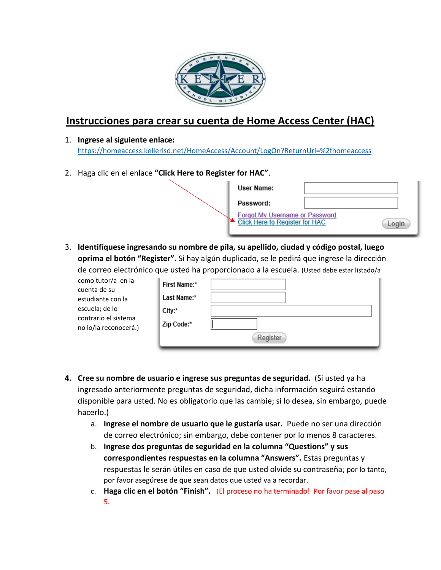

## **Instrucciones para crear su cuenta de Home Access Center (HAC)**

## 1. **Ingrese al siguiente enlace:**  <https://homeaccess.kellerisd.net/HomeAccess/Account/LogOn?ReturnUrl=%2fhomeaccess>

2. Haga clic en el enlace **"Click Here to Register for HAC"**.

| User Name:                                                                     |  |
|--------------------------------------------------------------------------------|--|
| Password:                                                                      |  |
| <b>Forgot My Username or Password</b><br><b>Click Here to Register for HAC</b> |  |

3. **Identifíquese ingresando su nombre de pila, su apellido, ciudad y código postal, luego oprima el botón "Register".** Si hay algún duplicado, se le pedirá que ingrese la dirección de correo electrónico que usted ha proporcionado a la escuela. (Usted debe estar listado/a

| como tutor/a en la<br>cuenta de su     | <b>First Name:*</b> |          |
|----------------------------------------|---------------------|----------|
| estudiante con la                      | Last Name:*         |          |
| escuela; de lo<br>contrario el sistema | City:*              |          |
| no lo/la reconocerá.)                  | Zip Code:*          |          |
|                                        |                     | Register |

- **4. Cree su nombre de usuario e ingrese sus preguntas de seguridad.** (Si usted ya ha ingresado anteriormente preguntas de seguridad, dicha información seguirá estando disponible para usted. No es obligatorio que las cambie; si lo desea, sin embargo, puede hacerlo.)
	- a. **Ingrese el nombre de usuario que le gustaría usar.** Puede no ser una dirección de correo electrónico; sin embargo, debe contener por lo menos 8 caracteres.
	- b. **Ingrese dos preguntas de seguridad en la columna "Questions" y sus correspondientes respuestas en la columna "Answers".** Estas preguntas y respuestas le serán útiles en caso de que usted olvide su contraseña; por lo tanto, por favor asegúrese de que sean datos que usted va a recordar.
	- c. **Haga clic en el botón "Finish".** ¡El proceso no ha terminado! Por favor pase al paso 5.